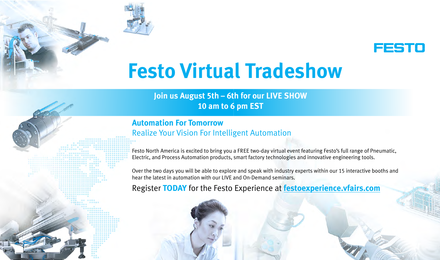

# **Festo Virtual Tradeshow**

# **Join us August 5th – 6th for our LIVE SHOW 10 am to 6 pm EST**

# **Automation For Tomorrow** Realize Your Vision For Intelligent Automation

Festo North America is excited to bring you a FREE two-day virtual event featuring Festo's full range of Pneumatic, Electric, and Process Automation products, smart factory technologies and innovative engineering tools.

Over the two days you will be able to explore and speak with industry experts within our 15 interactive booths and hear the latest in automation with our LIVE and On-Demand seminars.

Register **TODAY** for the Festo Experience at **[festoexperience.vfairs.com](http://festoexperience.vfairs.com)**